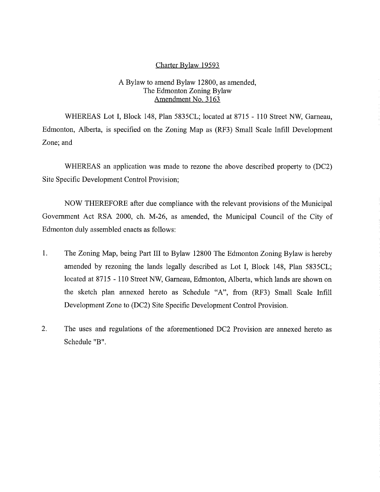#### Charter Bylaw 19593

## A Bylaw to amend Bylaw 12800, as amended, The Edmonton Zoning Bylaw Amendment No. 3163

WHEREAS Lot I, Block 148, Plan 5835CL; located at 8715 - 110 Street NW, Garneau, Edmonton, Alberta, is specified on the Zoning Map as (RF3) Small Scale Infill Development Zone; and

WHEREAS an application was made to rezone the above described property to (DC2) Site Specific Development Control Provision;

NOW THEREFORE after due compliance with the relevant provisions of the Municipal Government Act RSA 2000, ch. M-26, as amended, the Municipal Council of the City of Edmonton duly assembled enacts as follows:

- 1. The Zoning Map, being Part III to Bylaw 12800 The Edmonton Zoning Bylaw is hereby amended by rezoning the lands legally described as Lot I, Block 148, Plan 5835CL; located at 8715 - 110 Street NW, Garneau, Edmonton, Alberta, which lands are shown on the sketch plan annexed hereto as Schedule "A", from (RF3) Small Scale Infill Development Zone to (DC2) Site Specific Development Control Provision.
- 2. The uses and regulations of the aforementioned DC2 Provision are annexed hereto as Schedule "B".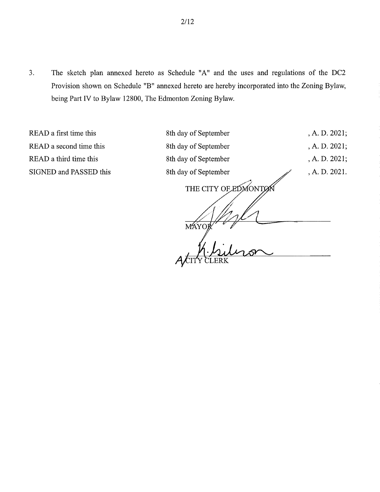3. The sketch plan annexed hereto as Schedule "A" and the uses and regulations of the DC2 Provision shown on Schedule "B" annexed hereto are hereby incorporated into the Zoning Bylaw, being Part IV to Bylaw 12800, The Edmonton Zoning Bylaw.

MAYOR

READ a first time this READ a second time this READ a third time this SIGNED and PASSED this

, A. D. 2021; , A. D. 2021; , A. D. 2021; , A. D. 2021. 8th day of September 8th day of September 8th day of September 8th day of September

THE CITY OF EDMONTON

 $\overline{r}$ 

2/12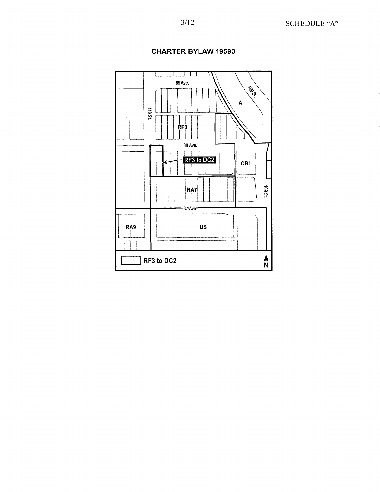

 $\bar{z}$ 

# **CHARTER BYLAW 19593**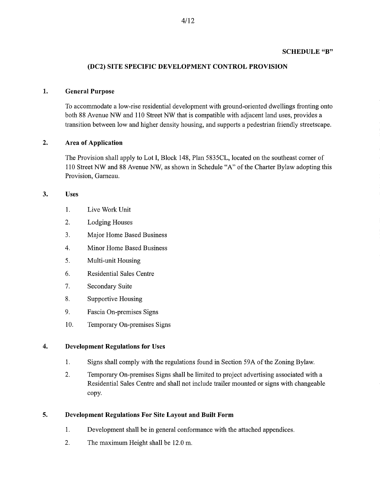#### **SCHEDULE "B"**

#### **(DC2) SITE SPECIFIC DEVELOPMENT CONTROL PROVISION**

#### **1. General Purpose**

To accommodate a low-rise residential development with ground-oriented dwellings fronting onto both 88 Avenue NW and **110** Street NW that is compatible with adjacent land uses, provides a transition between low and higher density housing, and supports a pedestrian friendly streetscape.

#### **2. Area of Application**

The Provision shall apply to Lot **I,** Block 148, Plan 5835CL, located on the southeast corner of 110 Street NW and 88 Avenue NW, as shown in Schedule "A" of the Charter Bylaw adopting this Provision, Garneau.

#### **3. Uses**

- 1. Live Work Unit
- 2. Lodging Houses
- 3. Major Home Based Business
- 4. Minor Home Based Business
- 5. Multi-unit Housing
- 6. Residential Sales Centre
- 7. Secondary Suite
- 8. Supportive Housing
- 9. Fascia On-premises Signs
- 10. Temporary On-premises Signs

#### **4. Development Regulations for Uses**

- 1. Signs shall comply with the regulations found in Section 59A of the Zoning Bylaw.
- 2. Temporary On-premises Signs shall be limited to project advertising associated with a Residential Sales Centre and shall not include trailer mounted or signs with changeable copy.

#### **5. Development Regulations For Site Layout and Built Form**

- 1. Development shall be in general conformance with the attached appendices.
- 2. The maximum Height shall be 12.0 m.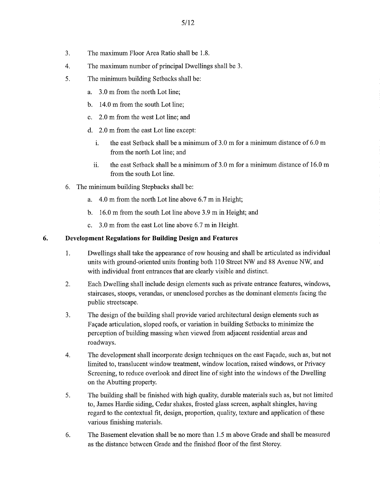- 3. The maximum Floor Area Ratio shall be 1.8.
- 4. The maximum number of principal Dwellings shall be 3.
- 5. The minimum building Setbacks shall be:
	- a. 3.0 m from the north Lot line;
	- b. 14.0 m from the south Lot line;
	- c. 2.0 m from the west Lot line; and
	- d. 2.0 m from the east Lot line except:
		- i. the east Setback shall be a minimum of 3.0 m for a minimum distance of 6.0 m from the north Lot line; and
		- ii. the east Setback shall be a minimum of  $3.0 \text{ m}$  for a minimum distance of  $16.0 \text{ m}$ from the south Lot line.
- 6. The minimum building Stepbacks shall be:
	- a. 4.0 m from the north Lot line above 6.7 m in Height;
	- b. 16.0 m from the south Lot line above 3.9 m in Height; and
	- c. 3.0 m from the east Lot line above 6.7 m in Height.

### **6. Development Regulations for Building Design and Features**

- 1. Dwellings shall take the appearance of row housing and shall be articulated as individual units with ground-oriented units fronting both 110 Street NW and 88 Avenue NW, and with individual front entrances that are clearly visible and distinct.
- 2. Each Dwelling shall include design elements such as private entrance features, windows, staircases, stoops, verandas, or unenclosed porches as the dominant elements facing the public streetscape.
- 3. The design of the building shall provide varied architectural design elements such as Facade articulation, sloped roofs, or variation in building Setbacks to minimize the perception of building massing when viewed from adjacent residential areas and roadways.
- 4. The development shall incorporate design techniques on the east Façade, such as, but not limited to, translucent window treatment, window location, raised windows, or Privacy Screening, to reduce overlook and direct line of sight into the windows of the Dwelling on the Abutting property.
- 5. The building shall be finished with high quality, durable materials such as, but not limited to, James Hardie siding, Cedar shakes, frosted glass screen, asphalt shingles, having regard to the contextual fit, design, proportion, quality, texture and application of these various finishing materials.
- 6. The Basement elevation shall be no more than 1.5 m above Grade and shall be measured as the distance between Grade and the finished floor of the first Storey.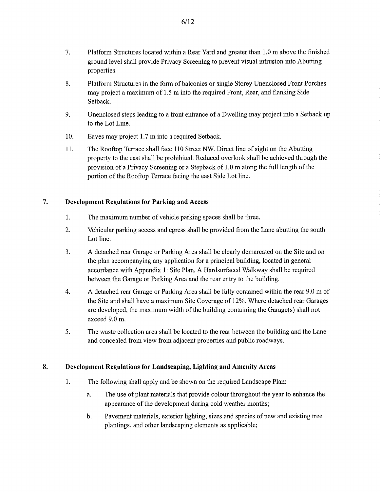- 7. Platform Structures located within a Rear Yard and greater than 1.0 m above the finished ground level shall provide Privacy Screening to prevent visual intrusion into Abutting properties.
- 8. Platform Structures in the form of balconies or single Storey Unenclosed Front Porches may project a maximum of 1.5 m into the required Front, Rear, and flanking Side Setback.
- 9. Unenclosed steps leading to a front entrance of a Dwelling may project into a Setback up to the Lot Line.
- 10. Eaves may project 1.7 m into a required Setback.
- 11. The Rooftop Terrace shall face 110 Street NW. Direct line of sight on the Abutting property to the east shall be prohibited. Reduced overlook shall be achieved through the provision of a Privacy Screening or a Stepback of 1.0 m along the full length of the portion of the Rooftop Terrace facing the east Side Lot line.

### **7. Development Regulations for Parking and Access**

- 1. The maximum number of vehicle parking spaces shall be three.
- 2. Vehicular parking access and egress shall be provided from the Lane abutting the south Lot line.
- 3. A detached rear Garage or Parking Area shall be clearly demarcated on the Site and on the plan accompanying any application for a principal building, located in general accordance with Appendix 1: Site Plan. A Hardsurfaced Walkway shall be required between the Garage or Parking Area and the rear entry to the building.
- 4. A detached rear Garage or Parking Area shall be fully contained within the rear 9.0 m of the Site and shall have a maximum Site Coverage of 12%. Where detached rear Garages are developed, the maximum width of the building containing the Garage(s) shall not exceed 9.0 m.
- 5. The waste collection area shall be located to the rear between the building and the Lane and concealed from view from adjacent properties and public roadways.

#### **8. Development Regulations for Landscaping, Lighting and Amenity Areas**

- 1. The following shall apply and be shown on the required Landscape Plan:
	- a. The use of plant materials that provide colour throughout the year to enhance the appearance of the development during cold weather months;
	- b. Pavement materials, exterior lighting, sizes and species of new and existing tree plantings, and other landscaping elements as applicable;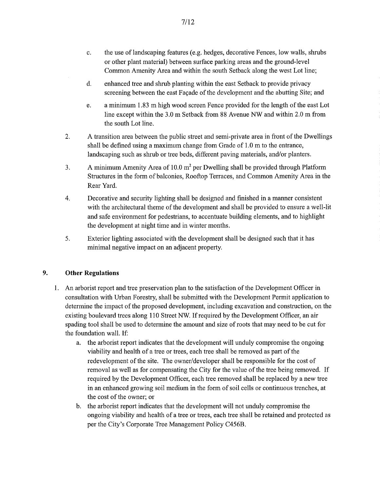- c. the use of landscaping features (e.g. hedges, decorative Fences, low walls, shrubs or other plant material) between surface parking areas and the ground-level Common Amenity Area and within the south Setback along the west Lot line;
- d. enhanced tree and shrub planting within the east Setback to provide privacy screening between the east Façade of the development and the abutting Site; and
- e. a minimum 1.83 in high wood screen Fence provided for the length of the east Lot line except within the 3.0 m Setback from 88 Avenue NW and within 2.0 m from the south Lot line.
- 2. A transition area between the public street and semi-private area in front of the Dwellings shall be defined using a maximum change from Grade of  $1.0 \text{ m}$  to the entrance, landscaping such as shrub or tree beds, different paving materials, and/or planters.
- 3. A minimum Amenity Area of 10.0  $m<sup>2</sup>$  per Dwelling shall be provided through Platform Structures in the form of balconies, Rooftop Terraces, and Common Amenity Area in the Rear Yard.
- 4. Decorative and security lighting shall be designed and finished in a manner consistent with the architectural theme of the development and shall be provided to ensure a well-lit and safe environment for pedestrians, to accentuate building elements, and to highlight the development at night time and in winter months.
- 5. Exterior lighting associated with the development shall be designed such that it has minimal negative impact on an adjacent property.

# 9. Other Regulations

- 1. An arborist report and tree preservation plan to the satisfaction of the Development Officer in consultation with Urban Forestry, shall be submitted with the Development Permit application to determine the impact of the proposed development, including excavation and construction, on the existing boulevard trees along 110 Street NW. If required by the Development Officer, an air spading tool shall be used to determine the amount and size of roots that may need to be cut for the foundation wall. If:
	- a. the arborist report indicates that the development will unduly compromise the ongoing viability and health of a tree or trees, each tree shall be removed as part of the redevelopment of the site. The owner/developer shall be responsible for the cost of removal as well as for compensating the City for the value of the tree being removed. If required by the Development Officer, each tree removed shall be replaced by a new tree in an enhanced growing soil medium in the form of soil cells or continuous trenches, at the cost of the owner; or
	- b. the arborist report indicates that the development will not unduly compromise the ongoing viability and health of a tree or trees, each tree shall be retained and protected as per the City's Corporate Tree Management Policy C456B.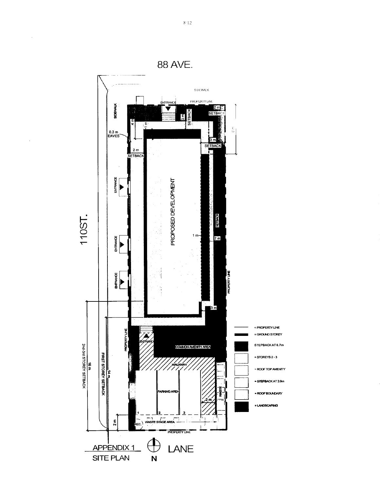

 $8 - 12$ 

 $\sim$ 

 $\frac{1}{2}$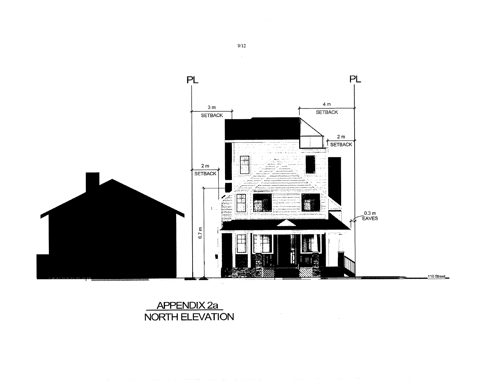

# APPENDIX 2a NORTH ELEVATION

 $9/12$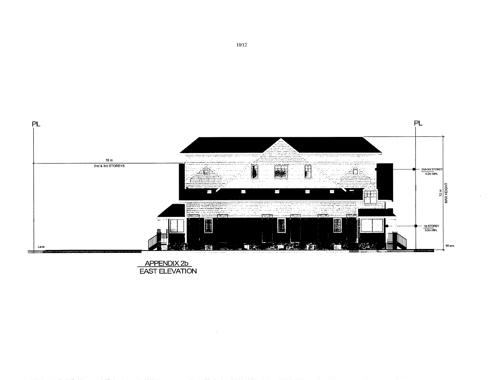

APPENDIX 2b<br>EAST ELEVATION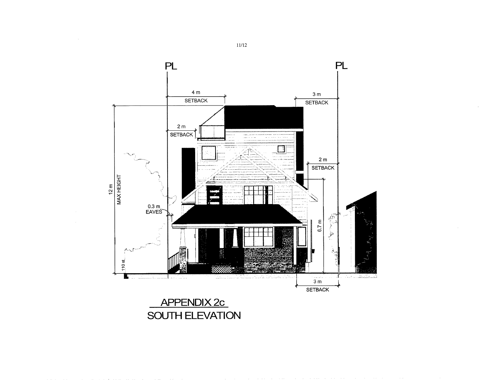

 $11/12$